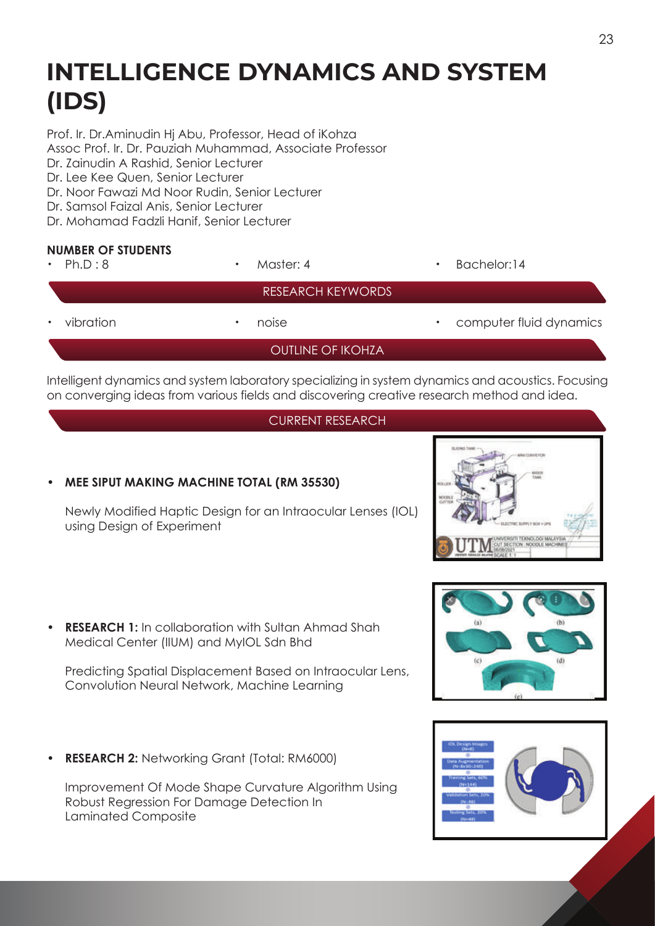# **INTELLIGENCE DYNAMICS AND SYSTEM (IDS)**

Prof. Ir. Dr.Aminudin Hj Abu, Professor, Head of iKohza Assoc Prof. Ir. Dr. Pauziah Muhammad, Associate Professor

Dr. Zainudin A Rashid, Senior Lecturer

Dr. Lee Kee Quen, Senior Lecturer

- Dr. Noor Fawazi Md Noor Rudin, Senior Lecturer
- Dr. Samsol Faizal Anis, Senior Lecturer
- Dr. Mohamad Fadzli Hanif, Senior Lecturer

## **NUMBER OF STUDENTS**

| <b>NUMBER OF SIUDENIS</b><br>Ph.D:8<br>$\bullet$ . | Master: 4<br>$\bullet$   | Bachelor:14<br>٠             |
|----------------------------------------------------|--------------------------|------------------------------|
|                                                    | <b>RESEARCH KEYWORDS</b> |                              |
| vibration                                          | noise<br>٠               | computer fluid dynamics<br>٠ |
|                                                    | OUTLINE OF IKOHZA        |                              |
|                                                    |                          |                              |

Intelligent dynamics and system laboratory specializing in system dynamics and acoustics. Focusing on converging ideas from various fields and discovering creative research method and idea.

### CURRENT RESEARCH

### **• MEE SIPUT MAKING MACHINE TOTAL (RM 35530)**

 Newly Modified Haptic Design for an Intraocular Lenses (IOL) using Design of Experiment



• **RESEARCH 1:** In collaboration with Sultan Ahmad Shah Medical Center (IIUM) and MyIOL Sdn Bhd

 Predicting Spatial Displacement Based on Intraocular Lens, Convolution Neural Network, Machine Learning

• **RESEARCH 2:** Networking Grant (Total: RM6000)

 Improvement Of Mode Shape Curvature Algorithm Using Robust Regression For Damage Detection In Laminated Composite